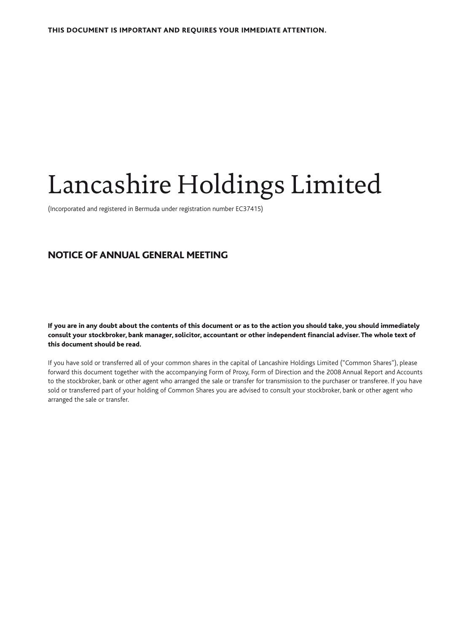# Lancashire Holdings Limited

(Incorporated and registered in Bermuda under registration number EC37415)

# NOTICE OF ANNUAL GENERAL MEETING

If you are in any doubt about the contents of this document or as to the action you should take, you should immediately consult your stockbroker, bank manager, solicitor, accountant or other independent financial adviser. The whole text of this document should be read.

If you have sold or transferred all of your common shares in the capital of Lancashire Holdings Limited ("Common Shares"), please forward this document together with the accompanying Form of Proxy, Form of Direction and the 2008 Annual Report and Accounts to the stockbroker, bank or other agent who arranged the sale or transfer for transmission to the purchaser or transferee. If you have sold or transferred part of your holding of Common Shares you are advised to consult your stockbroker, bank or other agent who arranged the sale or transfer.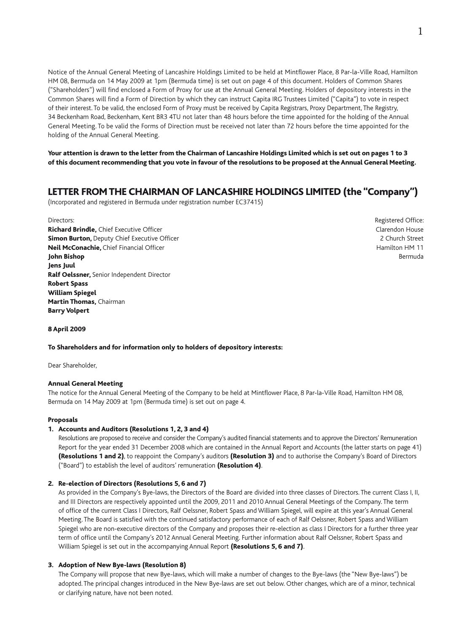Notice of the Annual General Meeting of Lancashire Holdings Limited to be held at Mintflower Place, 8 Par-la-Ville Road, Hamilton HM 08, Bermuda on 14 May 2009 at 1pm (Bermuda time) is set out on page 4 of this document. Holders of Common Shares ("Shareholders") will find enclosed a Form of Proxy for use at the Annual General Meeting. Holders of depository interests in the Common Shares will find a Form of Direction by which they can instruct Capita IRG Trustees Limited ("Capita") to vote in respect of their interest. To be valid, the enclosed Form of Proxy must be received by Capita Registrars, Proxy Department, The Registry, 34 Beckenham Road, Beckenham, Kent BR3 4TU not later than 48 hours before the time appointed for the holding of the Annual General Meeting. To be valid the Forms of Direction must be received not later than 72 hours before the time appointed for the holding of the Annual General Meeting.

Your attention is drawn to the letter from the Chairman of Lancashire Holdings Limited which is set out on pages 1 to 3 of this document recommending that you vote in favour of the resolutions to be proposed at the Annual General Meeting.

# LETTER FROM THE CHAIRMAN OF LANCASHIRE HOLDINGS LIMITED (the "Company")

(Incorporated and registered in Bermuda under registration number EC37415)

Richard Brindle, Chief Executive Officer Clarendon House Clarendon House Clarendon House Simon Burton, Deputy Chief Executive Officer 2 Church Street 2 Church Street Neil McConachie, Chief Financial Officer Hamilton HM 11 and the University of the Hamilton HM 11 **John Bishop Bermuda Bermuda Bermuda Bermuda Bermuda Bermuda Bermuda Bermuda Bermuda Bermuda Bermuda Bermuda Bermuda** Jens Juul Ralf Oelssner, Senior Independent Director Robert Spass William Spiegel Martin Thomas, Chairman Barry Volpert

Directors: Registered Office:

#### 8 April 2009

#### To Shareholders and for information only to holders of depository interests:

Dear Shareholder,

## Annual General Meeting

The notice for the Annual General Meeting of the Company to be held at Mintflower Place, 8 Par-la-Ville Road, Hamilton HM 08, Bermuda on 14 May 2009 at 1pm (Bermuda time) is set out on page 4.

#### Proposals

## 1. Accounts and Auditors (Resolutions 1, 2, 3 and 4)

 Resolutions are proposed to receive and consider the Company's audited financial statements and to approve the Directors' Remuneration Report for the year ended 31 December 2008 which are contained in the Annual Report and Accounts (the latter starts on page 41) (Resolutions 1 and 2), to reappoint the Company's auditors (Resolution 3) and to authorise the Company's Board of Directors ("Board") to establish the level of auditors' remuneration (Resolution 4).

## 2. Re-election of Directors (Resolutions 5, 6 and 7)

 As provided in the Company's Bye-laws, the Directors of the Board are divided into three classes of Directors. The current Class I, II, and III Directors are respectively appointed until the 2009, 2011 and 2010 Annual General Meetings of the Company. The term of office of the current Class I Directors, Ralf Oelssner, Robert Spass and William Spiegel, will expire at this year's Annual General Meeting. The Board is satisfied with the continued satisfactory performance of each of Ralf Oelssner, Robert Spass and William Spiegel who are non-executive directors of the Company and proposes their re-election as class I Directors for a further three year term of office until the Company's 2012 Annual General Meeting. Further information about Ralf Oelssner, Robert Spass and William Spiegel is set out in the accompanying Annual Report (Resolutions 5, 6 and 7).

## 3. Adoption of New Bye-laws (Resolution 8)

 The Company will propose that new Bye-laws, which will make a number of changes to the Bye-laws (the "New Bye-laws") be adopted. The principal changes introduced in the New Bye-laws are set out below. Other changes, which are of a minor, technical or clarifying nature, have not been noted.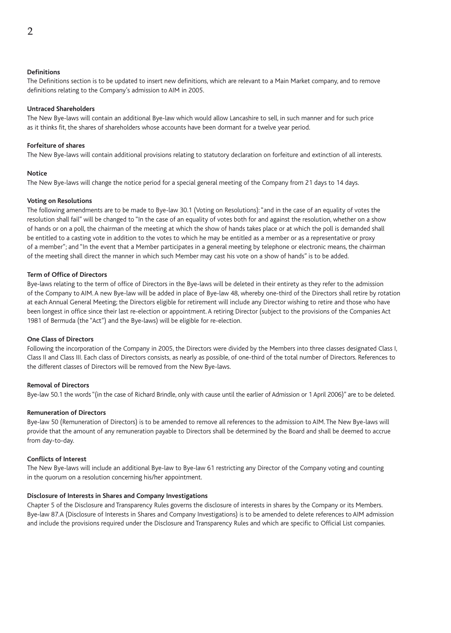The Definitions section is to be updated to insert new definitions, which are relevant to a Main Market company, and to remove definitions relating to the Company's admission to AIM in 2005.

## **Untraced Shareholders**

The New Bye-laws will contain an additional Bye-law which would allow Lancashire to sell, in such manner and for such price as it thinks fit, the shares of shareholders whose accounts have been dormant for a twelve year period.

## **Forfeiture of shares**

The New Bye-laws will contain additional provisions relating to statutory declaration on forfeiture and extinction of all interests.

## **Notice**

The New Bye-laws will change the notice period for a special general meeting of the Company from 21 days to 14 days.

## **Voting on Resolutions**

The following amendments are to be made to Bye-law 30.1 (Voting on Resolutions): "and in the case of an equality of votes the resolution shall fail" will be changed to "In the case of an equality of votes both for and against the resolution, whether on a show of hands or on a poll, the chairman of the meeting at which the show of hands takes place or at which the poll is demanded shall be entitled to a casting vote in addition to the votes to which he may be entitled as a member or as a representative or proxy of a member"; and "In the event that a Member participates in a general meeting by telephone or electronic means, the chairman of the meeting shall direct the manner in which such Member may cast his vote on a show of hands" is to be added.

## **Term of Office of Directors**

Bye-laws relating to the term of office of Directors in the Bye-laws will be deleted in their entirety as they refer to the admission of the Company to AIM. A new Bye-law will be added in place of Bye-law 48, whereby one-third of the Directors shall retire by rotation at each Annual General Meeting; the Directors eligible for retirement will include any Director wishing to retire and those who have been longest in office since their last re-election or appointment. A retiring Director (subject to the provisions of the Companies Act 1981 of Bermuda (the "Act") and the Bye-laws) will be eligible for re-election.

## **One Class of Directors**

Following the incorporation of the Company in 2005, the Directors were divided by the Members into three classes designated Class I, Class II and Class III. Each class of Directors consists, as nearly as possible, of one-third of the total number of Directors. References to the different classes of Directors will be removed from the New Bye-laws.

## **Removal of Directors**

Bye-law 50.1 the words "(in the case of Richard Brindle, only with cause until the earlier of Admission or 1 April 2006)" are to be deleted.

## **Remuneration of Directors**

Bye-law 50 (Remuneration of Directors) is to be amended to remove all references to the admission to AIM. The New Bye-laws will provide that the amount of any remuneration payable to Directors shall be determined by the Board and shall be deemed to accrue from day-to-day.

## **Conflicts of Interest**

The New Bye-laws will include an additional Bye-law to Bye-law 61 restricting any Director of the Company voting and counting in the quorum on a resolution concerning his/her appointment.

## **Disclosure of Interests in Shares and Company Investigations**

Chapter 5 of the Disclosure and Transparency Rules governs the disclosure of interests in shares by the Company or its Members. Bye-law 87.A (Disclosure of Interests in Shares and Company Investigations) is to be amended to delete references to AIM admission and include the provisions required under the Disclosure and Transparency Rules and which are specific to Official List companies.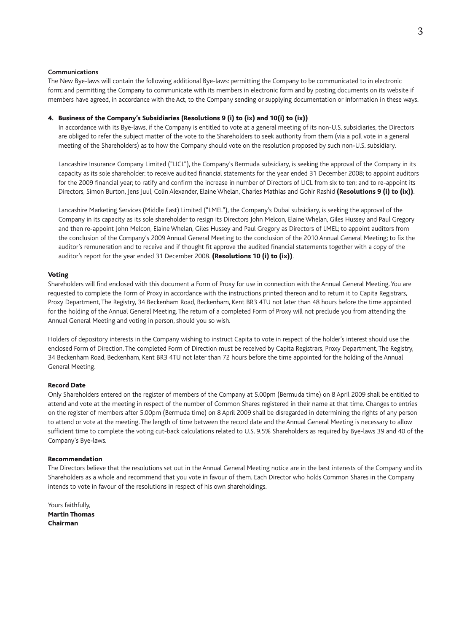#### **Communications**

The New Bye-laws will contain the following additional Bye-laws: permitting the Company to be communicated to in electronic form; and permitting the Company to communicate with its members in electronic form and by posting documents on its website if members have agreed, in accordance with the Act, to the Company sending or supplying documentation or information in these ways.

#### 4. Business of the Company's Subsidiaries (Resolutions 9 (i) to (ix) and 10(i) to (ix))

 In accordance with its Bye-laws, if the Company is entitled to vote at a general meeting of its non-U.S. subsidiaries, the Directors are obliged to refer the subject matter of the vote to the Shareholders to seek authority from them (via a poll vote in a general meeting of the Shareholders) as to how the Company should vote on the resolution proposed by such non-U.S. subsidiary.

 Lancashire Insurance Company Limited ("LICL"), the Company's Bermuda subsidiary, is seeking the approval of the Company in its capacity as its sole shareholder: to receive audited financial statements for the year ended 31 December 2008; to appoint auditors for the 2009 financial year; to ratify and confirm the increase in number of Directors of LICL from six to ten; and to re-appoint its Directors, Simon Burton, Jens Juul, Colin Alexander, Elaine Whelan, Charles Mathias and Gohir Rashid (Resolutions 9 (i) to (ix)).

 Lancashire Marketing Services (Middle East) Limited ("LMEL"), the Company's Dubai subsidiary, is seeking the approval of the Company in its capacity as its sole shareholder to resign its Directors John Melcon, Elaine Whelan, Giles Hussey and Paul Gregory and then re-appoint John Melcon, Elaine Whelan, Giles Hussey and Paul Gregory as Directors of LMEL; to appoint auditors from the conclusion of the Company's 2009 Annual General Meeting to the conclusion of the 2010 Annual General Meeting; to fix the auditor's remuneration and to receive and if thought fit approve the audited financial statements together with a copy of the auditor's report for the year ended 31 December 2008. (Resolutions 10 (i) to (ix)).

#### Voting

Shareholders will find enclosed with this document a Form of Proxy for use in connection with the Annual General Meeting. You are requested to complete the Form of Proxy in accordance with the instructions printed thereon and to return it to Capita Registrars, Proxy Department, The Registry, 34 Beckenham Road, Beckenham, Kent BR3 4TU not later than 48 hours before the time appointed for the holding of the Annual General Meeting. The return of a completed Form of Proxy will not preclude you from attending the Annual General Meeting and voting in person, should you so wish.

Holders of depository interests in the Company wishing to instruct Capita to vote in respect of the holder's interest should use the enclosed Form of Direction. The completed Form of Direction must be received by Capita Registrars, Proxy Department, The Registry, 34 Beckenham Road, Beckenham, Kent BR3 4TU not later than 72 hours before the time appointed for the holding of the Annual General Meeting.

#### Record Date

Only Shareholders entered on the register of members of the Company at 5.00pm (Bermuda time) on 8 April 2009 shall be entitled to attend and vote at the meeting in respect of the number of Common Shares registered in their name at that time. Changes to entries on the register of members after 5.00pm (Bermuda time) on 8 April 2009 shall be disregarded in determining the rights of any person to attend or vote at the meeting. The length of time between the record date and the Annual General Meeting is necessary to allow sufficient time to complete the voting cut-back calculations related to U.S. 9.5% Shareholders as required by Bye-laws 39 and 40 of the Company's Bye-laws.

#### Recommendation

The Directors believe that the resolutions set out in the Annual General Meeting notice are in the best interests of the Company and its Shareholders as a whole and recommend that you vote in favour of them. Each Director who holds Common Shares in the Company intends to vote in favour of the resolutions in respect of his own shareholdings.

Yours faithfully, Martin Thomas Chairman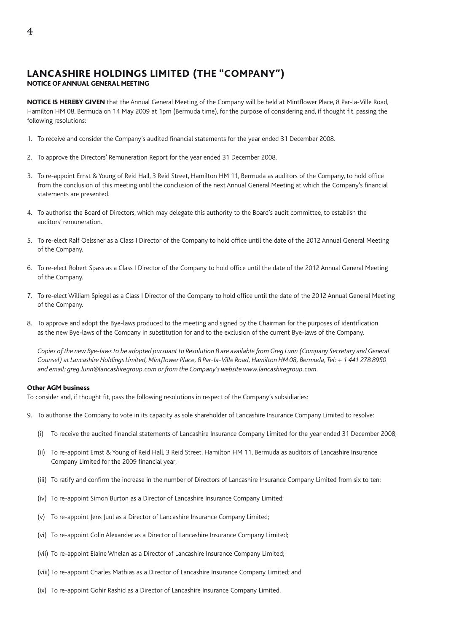## LANCASHIRE HOLDINGS LIMITED (THE "COMPANY") NOTICE OF ANNUAL GENERAL MEETING

NOTICE IS HEREBY GIVEN that the Annual General Meeting of the Company will be held at Mintflower Place, 8 Par-la-Ville Road, Hamilton HM 08, Bermuda on 14 May 2009 at 1pm (Bermuda time), for the purpose of considering and, if thought fit, passing the following resolutions:

- 1. To receive and consider the Company's audited financial statements for the year ended 31 December 2008.
- 2. To approve the Directors' Remuneration Report for the year ended 31 December 2008.
- 3. To re-appoint Ernst & Young of Reid Hall, 3 Reid Street, Hamilton HM 11, Bermuda as auditors of the Company, to hold office from the conclusion of this meeting until the conclusion of the next Annual General Meeting at which the Company's financial statements are presented.
- 4. To authorise the Board of Directors, which may delegate this authority to the Board's audit committee, to establish the auditors' remuneration.
- 5. To re-elect Ralf Oelssner as a Class I Director of the Company to hold office until the date of the 2012 Annual General Meeting of the Company.
- 6. To re-elect Robert Spass as a Class I Director of the Company to hold office until the date of the 2012 Annual General Meeting of the Company.
- 7. To re-elect William Spiegel as a Class I Director of the Company to hold office until the date of the 2012 Annual General Meeting of the Company.
- 8. To approve and adopt the Bye-laws produced to the meeting and signed by the Chairman for the purposes of identification as the new Bye-laws of the Company in substitution for and to the exclusion of the current Bye-laws of the Company.

 *Copies of the new Bye-laws to be adopted pursuant to Resolution 8 are available from Greg Lunn (Company Secretary and General Counsel) at Lancashire Holdings Limited, Mintflower Place, 8 Par-la-Ville Road, Hamilton HM 08, Bermuda, Tel: + 1 441 278 8950 and email: greg.lunn@lancashiregroup.com or from the Company's website www.lancashiregroup.com.*

#### Other AGM business

To consider and, if thought fit, pass the following resolutions in respect of the Company's subsidiaries:

- 9. To authorise the Company to vote in its capacity as sole shareholder of Lancashire Insurance Company Limited to resolve:
	- (i) To receive the audited financial statements of Lancashire Insurance Company Limited for the year ended 31 December 2008;
	- (ii) To re-appoint Ernst & Young of Reid Hall, 3 Reid Street, Hamilton HM 11, Bermuda as auditors of Lancashire Insurance Company Limited for the 2009 financial year;
	- (iii) To ratify and confirm the increase in the number of Directors of Lancashire Insurance Company Limited from six to ten;
	- (iv) To re-appoint Simon Burton as a Director of Lancashire Insurance Company Limited;
	- (v) To re-appoint Jens Juul as a Director of Lancashire Insurance Company Limited;
	- (vi) To re-appoint Colin Alexander as a Director of Lancashire Insurance Company Limited;
	- (vii) To re-appoint Elaine Whelan as a Director of Lancashire Insurance Company Limited;
	- (viii) To re-appoint Charles Mathias as a Director of Lancashire Insurance Company Limited; and
	- (ix) To re-appoint Gohir Rashid as a Director of Lancashire Insurance Company Limited.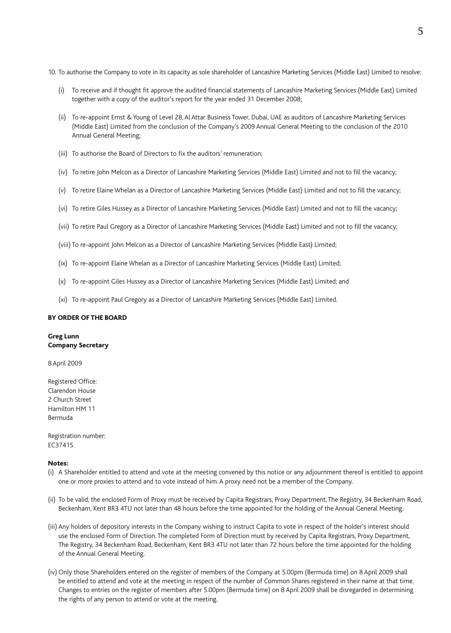- 10. To authorise the Company to vote in its capacity as sole shareholder of Lancashire Marketing Services (Middle East) Limited to resolve:
	- (i) To receive and if thought fit approve the audited financial statements of Lancashire Marketing Services (Middle East) Limited together with a copy of the auditor's report for the year ended 31 December 2008;
	- (ii) To re-appoint Ernst & Young of Level 28, Al Attar Business Tower, Dubai, UAE as auditors of Lancashire Marketing Services (Middle East) Limited from the conclusion of the Company's 2009 Annual General Meeting to the conclusion of the 2010 Annual General Meeting;
	- (iii) To authorise the Board of Directors to fix the auditors' remuneration;
	- (iv) To retire John Melcon as a Director of Lancashire Marketing Services (Middle East) Limited and not to fill the vacancy;
	- (v) To retire Elaine Whelan as a Director of Lancashire Marketing Services (Middle East) Limited and not to fill the vacancy;
	- (vi) To retire Giles Hussey as a Director of Lancashire Marketing Services (Middle East) Limited and not to fill the vacancy;
	- (vii) To retire Paul Gregory as a Director of Lancashire Marketing Services (Middle East) Limited and not to fill the vacancy;
	- (viii) To re-appoint John Melcon as a Director of Lancashire Marketing Services (Middle East) Limited;
	- (ix) To re-appoint Elaine Whelan as a Director of Lancashire Marketing Services (Middle East) Limited;
	- (x) To re-appoint Giles Hussey as a Director of Lancashire Marketing Services (Middle East) Limited; and
	- (xi) To re-appoint Paul Gregory as a Director of Lancashire Marketing Services (Middle East) Limited.

## BY ORDER OF THE BOARD

## Greg Lunn Company Secretary

8 April 2009

Registered Office: Clarendon House 2 Church Street Hamilton HM 11 Bermuda

Registration number: EC37415

## Notes:

- (i) A Shareholder entitled to attend and vote at the meeting convened by this notice or any adjournment thereof is entitled to appoint one or more proxies to attend and to vote instead of him. A proxy need not be a member of the Company.
- (ii) To be valid, the enclosed Form of Proxy must be received by Capita Registrars, Proxy Department, The Registry, 34 Beckenham Road, Beckenham, Kent BR3 4TU not later than 48 hours before the time appointed for the holding of the Annual General Meeting.
- (iii) Any holders of depository interests in the Company wishing to instruct Capita to vote in respect of the holder's interest should use the enclosed Form of Direction. The completed Form of Direction must by received by Capita Registrars, Proxy Department, The Registry, 34 Beckenham Road, Beckenham, Kent BR3 4TU not later than 72 hours before the time appointed for the holding of the Annual General Meeting.
- (iv) Only those Shareholders entered on the register of members of the Company at 5.00pm (Bermuda time) on 8 April 2009 shall be entitled to attend and vote at the meeting in respect of the number of Common Shares registered in their name at that time. Changes to entries on the register of members after 5.00pm (Bermuda time) on 8 April 2009 shall be disregarded in determining the rights of any person to attend or vote at the meeting.